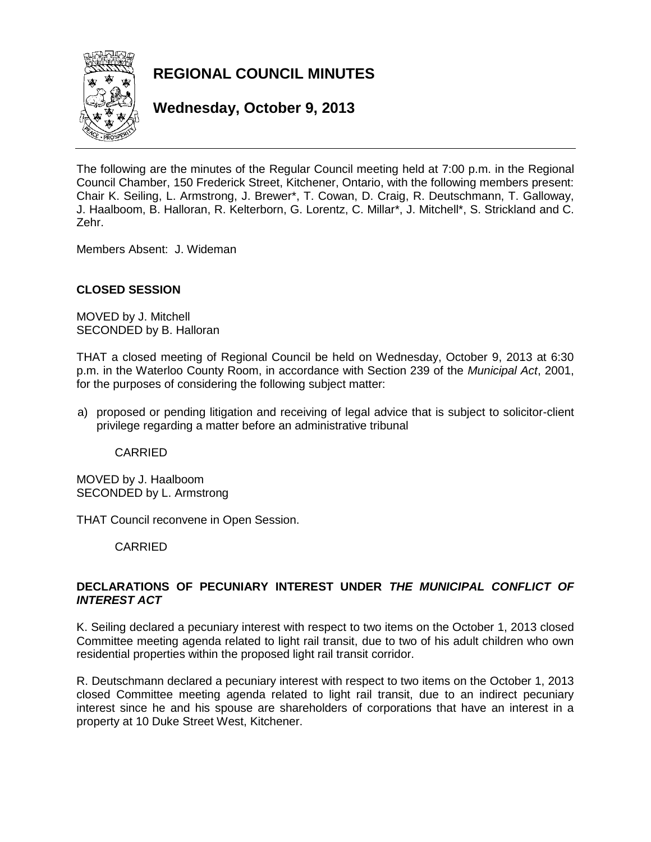

**REGIONAL COUNCIL MINUTES**

**Wednesday, October 9, 2013**

The following are the minutes of the Regular Council meeting held at 7:00 p.m. in the Regional Council Chamber, 150 Frederick Street, Kitchener, Ontario, with the following members present: Chair K. Seiling, L. Armstrong, J. Brewer\*, T. Cowan, D. Craig, R. Deutschmann, T. Galloway, J. Haalboom, B. Halloran, R. Kelterborn, G. Lorentz, C. Millar\*, J. Mitchell\*, S. Strickland and C. Zehr.

Members Absent: J. Wideman

## **CLOSED SESSION**

MOVED by J. Mitchell SECONDED by B. Halloran

THAT a closed meeting of Regional Council be held on Wednesday, October 9, 2013 at 6:30 p.m. in the Waterloo County Room, in accordance with Section 239 of the *Municipal Act*, 2001, for the purposes of considering the following subject matter:

a) proposed or pending litigation and receiving of legal advice that is subject to solicitor-client privilege regarding a matter before an administrative tribunal

CARRIED

MOVED by J. Haalboom SECONDED by L. Armstrong

THAT Council reconvene in Open Session.

CARRIED

## **DECLARATIONS OF PECUNIARY INTEREST UNDER** *THE MUNICIPAL CONFLICT OF INTEREST ACT*

K. Seiling declared a pecuniary interest with respect to two items on the October 1, 2013 closed Committee meeting agenda related to light rail transit, due to two of his adult children who own residential properties within the proposed light rail transit corridor.

R. Deutschmann declared a pecuniary interest with respect to two items on the October 1, 2013 closed Committee meeting agenda related to light rail transit, due to an indirect pecuniary interest since he and his spouse are shareholders of corporations that have an interest in a property at 10 Duke Street West, Kitchener.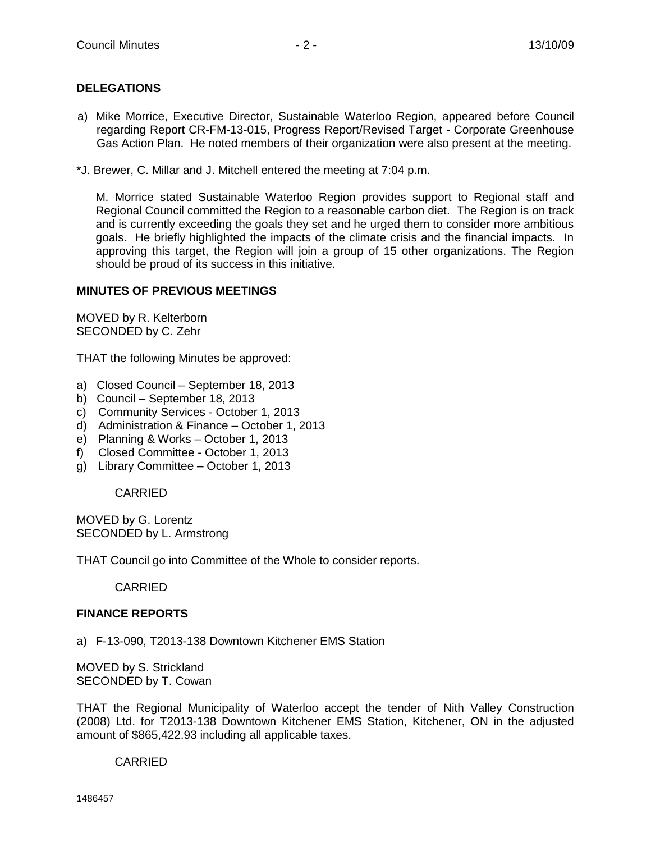# **DELEGATIONS**

- a) Mike Morrice, Executive Director, Sustainable Waterloo Region, appeared before Council regarding Report CR-FM-13-015, Progress Report/Revised Target - Corporate Greenhouse Gas Action Plan. He noted members of their organization were also present at the meeting.
- \*J. Brewer, C. Millar and J. Mitchell entered the meeting at 7:04 p.m.

M. Morrice stated Sustainable Waterloo Region provides support to Regional staff and Regional Council committed the Region to a reasonable carbon diet. The Region is on track and is currently exceeding the goals they set and he urged them to consider more ambitious goals. He briefly highlighted the impacts of the climate crisis and the financial impacts. In approving this target, the Region will join a group of 15 other organizations. The Region should be proud of its success in this initiative.

### **MINUTES OF PREVIOUS MEETINGS**

MOVED by R. Kelterborn SECONDED by C. Zehr

THAT the following Minutes be approved:

- a) Closed Council September 18, 2013
- b) Council September 18, 2013
- c) Community Services October 1, 2013
- d) Administration & Finance October 1, 2013
- e) Planning & Works October 1, 2013
- f) Closed Committee October 1, 2013
- g) Library Committee October 1, 2013

CARRIED

MOVED by G. Lorentz SECONDED by L. Armstrong

THAT Council go into Committee of the Whole to consider reports.

CARRIED

#### **FINANCE REPORTS**

a) F-13-090, T2013-138 Downtown Kitchener EMS Station

MOVED by S. Strickland SECONDED by T. Cowan

THAT the Regional Municipality of Waterloo accept the tender of Nith Valley Construction (2008) Ltd. for T2013-138 Downtown Kitchener EMS Station, Kitchener, ON in the adjusted amount of \$865,422.93 including all applicable taxes.

#### CARRIED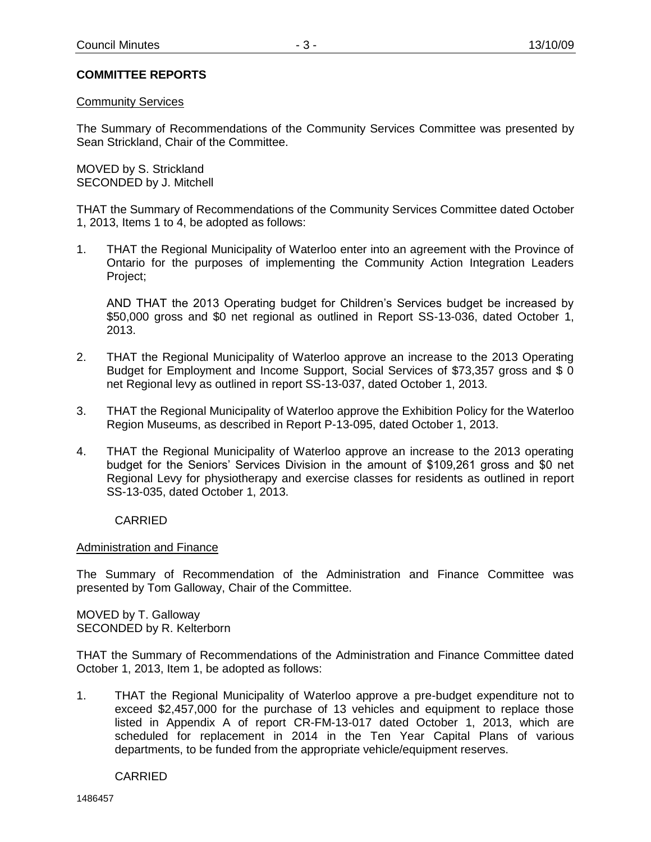### **COMMITTEE REPORTS**

#### Community Services

The Summary of Recommendations of the Community Services Committee was presented by Sean Strickland, Chair of the Committee.

MOVED by S. Strickland SECONDED by J. Mitchell

THAT the Summary of Recommendations of the Community Services Committee dated October 1, 2013, Items 1 to 4, be adopted as follows:

1. THAT the Regional Municipality of Waterloo enter into an agreement with the Province of Ontario for the purposes of implementing the Community Action Integration Leaders Project;

AND THAT the 2013 Operating budget for Children's Services budget be increased by \$50,000 gross and \$0 net regional as outlined in Report SS-13-036, dated October 1, 2013.

- 2. THAT the Regional Municipality of Waterloo approve an increase to the 2013 Operating Budget for Employment and Income Support, Social Services of \$73,357 gross and \$ 0 net Regional levy as outlined in report SS-13-037, dated October 1, 2013.
- 3. THAT the Regional Municipality of Waterloo approve the Exhibition Policy for the Waterloo Region Museums, as described in Report P-13-095, dated October 1, 2013.
- 4. THAT the Regional Municipality of Waterloo approve an increase to the 2013 operating budget for the Seniors' Services Division in the amount of \$109,261 gross and \$0 net Regional Levy for physiotherapy and exercise classes for residents as outlined in report SS-13-035, dated October 1, 2013.

CARRIED

#### Administration and Finance

The Summary of Recommendation of the Administration and Finance Committee was presented by Tom Galloway, Chair of the Committee.

MOVED by T. Galloway SECONDED by R. Kelterborn

THAT the Summary of Recommendations of the Administration and Finance Committee dated October 1, 2013, Item 1, be adopted as follows:

1. THAT the Regional Municipality of Waterloo approve a pre-budget expenditure not to exceed \$2,457,000 for the purchase of 13 vehicles and equipment to replace those listed in Appendix A of report CR-FM-13-017 dated October 1, 2013, which are scheduled for replacement in 2014 in the Ten Year Capital Plans of various departments, to be funded from the appropriate vehicle/equipment reserves.

CARRIED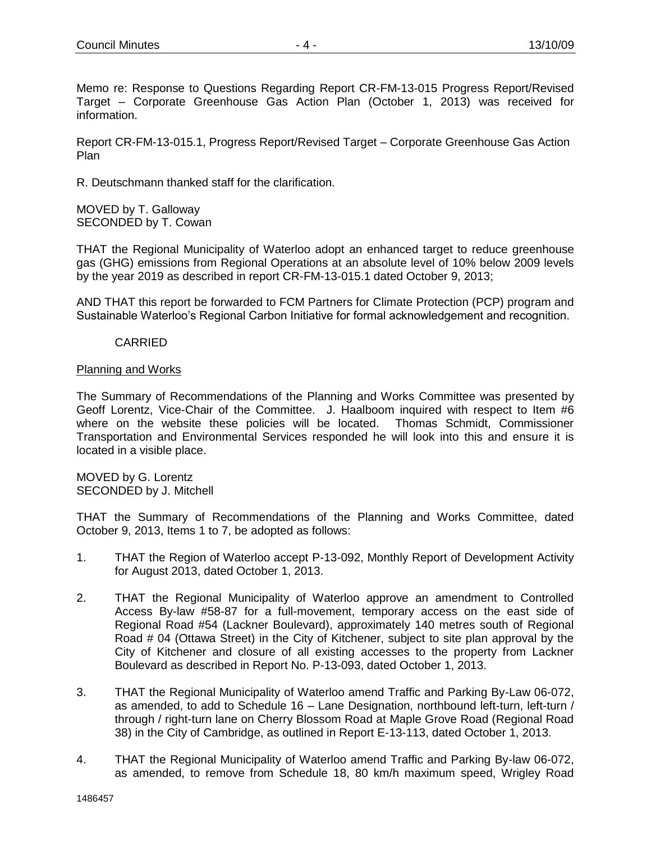Memo re: Response to Questions Regarding Report CR-FM-13-015 Progress Report/Revised Target – Corporate Greenhouse Gas Action Plan (October 1, 2013) was received for information.

Report CR-FM-13-015.1, Progress Report/Revised Target – Corporate Greenhouse Gas Action Plan

R. Deutschmann thanked staff for the clarification.

MOVED by T. Galloway SECONDED by T. Cowan

THAT the Regional Municipality of Waterloo adopt an enhanced target to reduce greenhouse gas (GHG) emissions from Regional Operations at an absolute level of 10% below 2009 levels by the year 2019 as described in report CR-FM-13-015.1 dated October 9, 2013;

AND THAT this report be forwarded to FCM Partners for Climate Protection (PCP) program and Sustainable Waterloo's Regional Carbon Initiative for formal acknowledgement and recognition.

## CARRIED

### Planning and Works

The Summary of Recommendations of the Planning and Works Committee was presented by Geoff Lorentz, Vice-Chair of the Committee. J. Haalboom inquired with respect to Item #6 where on the website these policies will be located. Thomas Schmidt, Commissioner Transportation and Environmental Services responded he will look into this and ensure it is located in a visible place.

MOVED by G. Lorentz SECONDED by J. Mitchell

THAT the Summary of Recommendations of the Planning and Works Committee, dated October 9, 2013, Items 1 to 7, be adopted as follows:

- 1. THAT the Region of Waterloo accept P-13-092, Monthly Report of Development Activity for August 2013, dated October 1, 2013.
- 2. THAT the Regional Municipality of Waterloo approve an amendment to Controlled Access By-law #58-87 for a full-movement, temporary access on the east side of Regional Road #54 (Lackner Boulevard), approximately 140 metres south of Regional Road # 04 (Ottawa Street) in the City of Kitchener, subject to site plan approval by the City of Kitchener and closure of all existing accesses to the property from Lackner Boulevard as described in Report No. P-13-093, dated October 1, 2013.
- 3. THAT the Regional Municipality of Waterloo amend Traffic and Parking By-Law 06-072, as amended, to add to Schedule 16 – Lane Designation, northbound left-turn, left-turn / through / right-turn lane on Cherry Blossom Road at Maple Grove Road (Regional Road 38) in the City of Cambridge, as outlined in Report E-13-113, dated October 1, 2013.
- 4. THAT the Regional Municipality of Waterloo amend Traffic and Parking By-law 06-072, as amended, to remove from Schedule 18, 80 km/h maximum speed, Wrigley Road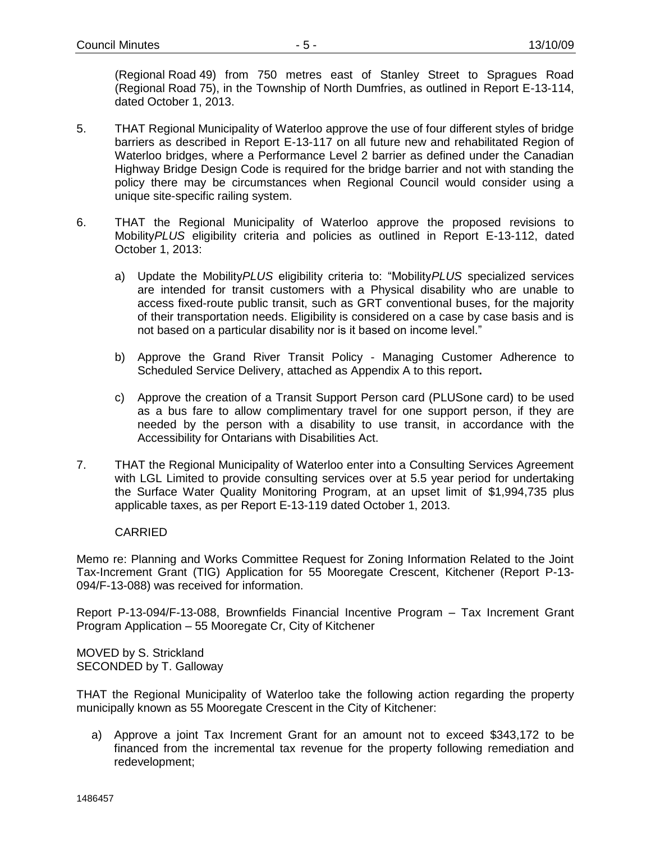(Regional Road 49) from 750 metres east of Stanley Street to Spragues Road (Regional Road 75), in the Township of North Dumfries, as outlined in Report E-13-114, dated October 1, 2013.

- 5. THAT Regional Municipality of Waterloo approve the use of four different styles of bridge barriers as described in Report E-13-117 on all future new and rehabilitated Region of Waterloo bridges, where a Performance Level 2 barrier as defined under the Canadian Highway Bridge Design Code is required for the bridge barrier and not with standing the policy there may be circumstances when Regional Council would consider using a unique site-specific railing system.
- 6. THAT the Regional Municipality of Waterloo approve the proposed revisions to Mobility*PLUS* eligibility criteria and policies as outlined in Report E-13-112, dated October 1, 2013:
	- a) Update the Mobility*PLUS* eligibility criteria to: "Mobility*PLUS* specialized services are intended for transit customers with a Physical disability who are unable to access fixed-route public transit, such as GRT conventional buses, for the majority of their transportation needs. Eligibility is considered on a case by case basis and is not based on a particular disability nor is it based on income level."
	- b) Approve the Grand River Transit Policy Managing Customer Adherence to Scheduled Service Delivery, attached as Appendix A to this report**.**
	- c) Approve the creation of a Transit Support Person card (PLUSone card) to be used as a bus fare to allow complimentary travel for one support person, if they are needed by the person with a disability to use transit, in accordance with the Accessibility for Ontarians with Disabilities Act.
- 7. THAT the Regional Municipality of Waterloo enter into a Consulting Services Agreement with LGL Limited to provide consulting services over at 5.5 year period for undertaking the Surface Water Quality Monitoring Program, at an upset limit of \$1,994,735 plus applicable taxes, as per Report E-13-119 dated October 1, 2013.

## CARRIED

Memo re: Planning and Works Committee Request for Zoning Information Related to the Joint Tax-Increment Grant (TIG) Application for 55 Mooregate Crescent, Kitchener (Report P-13- 094/F-13-088) was received for information.

Report P-13-094/F-13-088, Brownfields Financial Incentive Program – Tax Increment Grant Program Application – 55 Mooregate Cr, City of Kitchener

MOVED by S. Strickland SECONDED by T. Galloway

THAT the Regional Municipality of Waterloo take the following action regarding the property municipally known as 55 Mooregate Crescent in the City of Kitchener:

a) Approve a joint Tax Increment Grant for an amount not to exceed \$343,172 to be financed from the incremental tax revenue for the property following remediation and redevelopment;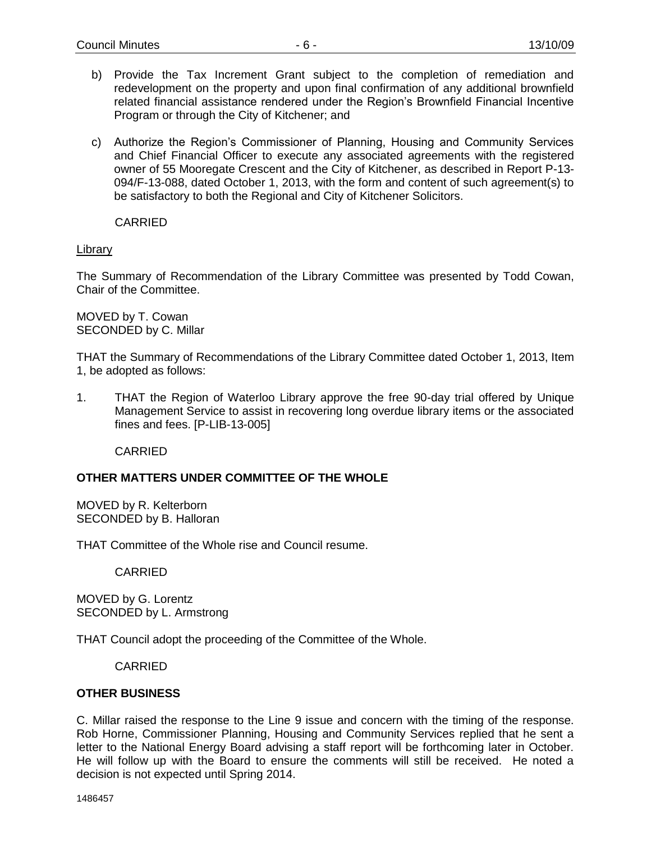- b) Provide the Tax Increment Grant subject to the completion of remediation and redevelopment on the property and upon final confirmation of any additional brownfield related financial assistance rendered under the Region's Brownfield Financial Incentive Program or through the City of Kitchener; and
- c) Authorize the Region's Commissioner of Planning, Housing and Community Services and Chief Financial Officer to execute any associated agreements with the registered owner of 55 Mooregate Crescent and the City of Kitchener, as described in Report P-13- 094/F-13-088, dated October 1, 2013, with the form and content of such agreement(s) to be satisfactory to both the Regional and City of Kitchener Solicitors.

CARRIED

### Library

The Summary of Recommendation of the Library Committee was presented by Todd Cowan, Chair of the Committee.

MOVED by T. Cowan SECONDED by C. Millar

THAT the Summary of Recommendations of the Library Committee dated October 1, 2013, Item 1, be adopted as follows:

1. THAT the Region of Waterloo Library approve the free 90-day trial offered by Unique Management Service to assist in recovering long overdue library items or the associated fines and fees. [P-LIB-13-005]

CARRIED

## **OTHER MATTERS UNDER COMMITTEE OF THE WHOLE**

MOVED by R. Kelterborn SECONDED by B. Halloran

THAT Committee of the Whole rise and Council resume.

CARRIED

MOVED by G. Lorentz SECONDED by L. Armstrong

THAT Council adopt the proceeding of the Committee of the Whole.

CARRIED

#### **OTHER BUSINESS**

C. Millar raised the response to the Line 9 issue and concern with the timing of the response. Rob Horne, Commissioner Planning, Housing and Community Services replied that he sent a letter to the National Energy Board advising a staff report will be forthcoming later in October. He will follow up with the Board to ensure the comments will still be received. He noted a decision is not expected until Spring 2014.